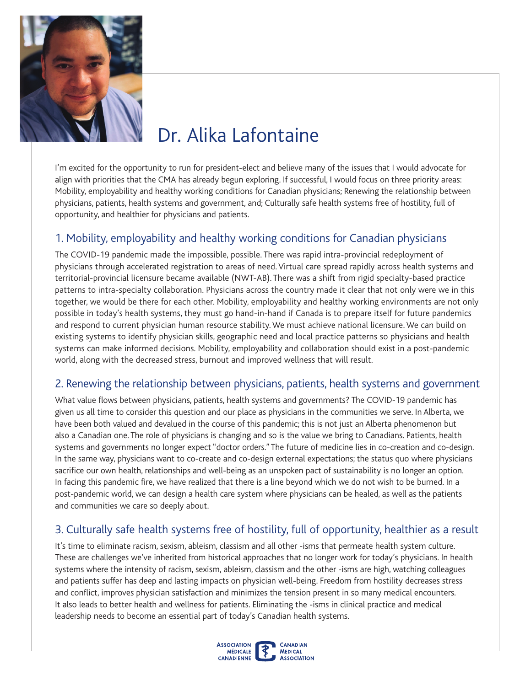

# Dr. Alika Lafontaine

I'm excited for the opportunity to run for president-elect and believe many of the issues that I would advocate for align with priorities that the CMA has already begun exploring. If successful, I would focus on three priority areas: Mobility, employability and healthy working conditions for Canadian physicians; Renewing the relationship between physicians, patients, health systems and government, and; Culturally safe health systems free of hostility, full of opportunity, and healthier for physicians and patients.

## 1. Mobility, employability and healthy working conditions for Canadian physicians

The COVID-19 pandemic made the impossible, possible. There was rapid intra-provincial redeployment of physicians through accelerated registration to areas of need. Virtual care spread rapidly across health systems and territorial-provincial licensure became available (NWT-AB). There was a shift from rigid specialty-based practice patterns to intra-specialty collaboration. Physicians across the country made it clear that not only were we in this together, we would be there for each other. Mobility, employability and healthy working environments are not only possible in today's health systems, they must go hand-in-hand if Canada is to prepare itself for future pandemics and respond to current physician human resource stability. We must achieve national licensure. We can build on existing systems to identify physician skills, geographic need and local practice patterns so physicians and health systems can make informed decisions. Mobility, employability and collaboration should exist in a post-pandemic world, along with the decreased stress, burnout and improved wellness that will result.

#### 2. Renewing the relationship between physicians, patients, health systems and government

sacrifice our own health, relationships and well-being as an unspoken pact of sustainability is no longer an option.<br>In facing this pandemic fire, we have realized that there is a line beyond which we do not wish to be bur What value flows between physicians, patients, health systems and governments? The COVID-19 pandemic has given us all time to consider this question and our place as physicians in the communities we serve. In Alberta, we have been both valued and devalued in the course of this pandemic; this is not just an Alberta phenomenon but also a Canadian one. The role of physicians is changing and so is the value we bring to Canadians. Patients, health systems and governments no longer expect "doctor orders." The future of medicine lies in co-creation and co-design. In the same way, physicians want to co-create and co-design external expectations; the status quo where physicians post-pandemic world, we can design a health care system where physicians can be healed, as well as the patients and communities we care so deeply about.

## 3. Culturally safe health systems free of hostility, full of opportunity, healthier as a result

and conflict, improves physician satisfaction and minimizes the tension present in so many medical encounters. It's time to eliminate racism, sexism, ableism, classism and all other -isms that permeate health system culture. These are challenges we've inherited from historical approaches that no longer work for today's physicians. In health systems where the intensity of racism, sexism, ableism, classism and the other -isms are high, watching colleagues and patients suffer has deep and lasting impacts on physician well-being. Freedom from hostility decreases stress It also leads to better health and wellness for patients. Eliminating the -isms in clinical practice and medical leadership needs to become an essential part of today's Canadian health systems.